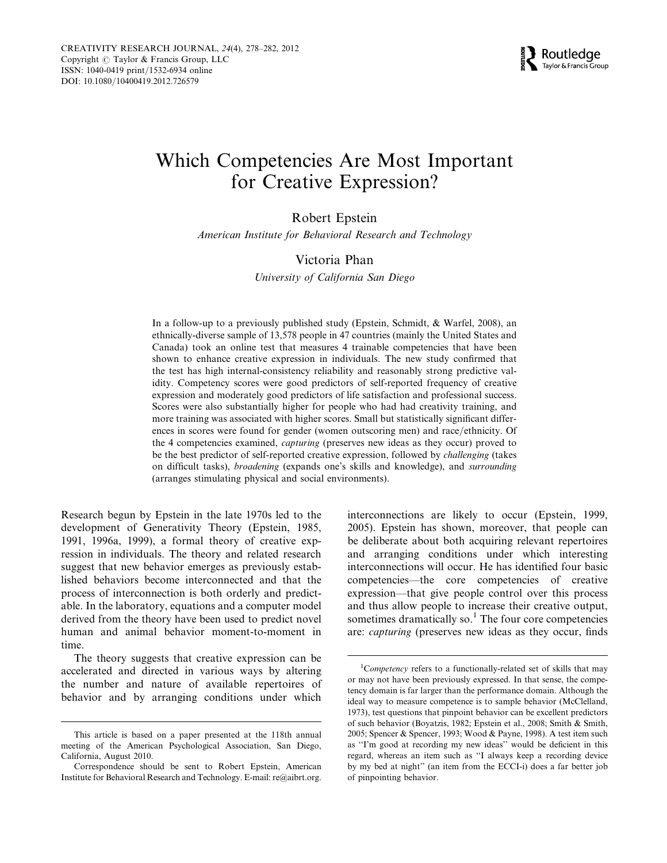

# Which Competencies Are Most Important for Creative Expression?

# Robert Epstein

American Institute for Behavioral Research and Technology

# Victoria Phan

University of California San Diego

In a follow-up to a previously published study (Epstein, Schmidt, & Warfel, 2008), an ethnically-diverse sample of 13,578 people in 47 countries (mainly the United States and Canada) took an online test that measures 4 trainable competencies that have been shown to enhance creative expression in individuals. The new study confirmed that the test has high internal-consistency reliability and reasonably strong predictive validity. Competency scores were good predictors of self-reported frequency of creative expression and moderately good predictors of life satisfaction and professional success. Scores were also substantially higher for people who had had creativity training, and more training was associated with higher scores. Small but statistically significant differences in scores were found for gender (women outscoring men) and race/ethnicity. Of the 4 competencies examined, capturing (preserves new ideas as they occur) proved to be the best predictor of self-reported creative expression, followed by challenging (takes on difficult tasks), broadening (expands one's skills and knowledge), and surrounding (arranges stimulating physical and social environments).

Research begun by Epstein in the late 1970s led to the development of Generativity Theory (Epstein, 1985, 1991, 1996a, 1999), a formal theory of creative expression in individuals. The theory and related research suggest that new behavior emerges as previously established behaviors become interconnected and that the process of interconnection is both orderly and predictable. In the laboratory, equations and a computer model derived from the theory have been used to predict novel human and animal behavior moment-to-moment in time.

The theory suggests that creative expression can be accelerated and directed in various ways by altering the number and nature of available repertoires of behavior and by arranging conditions under which interconnections are likely to occur (Epstein, 1999, 2005). Epstein has shown, moreover, that people can be deliberate about both acquiring relevant repertoires and arranging conditions under which interesting interconnections will occur. He has identified four basic competencies—the core competencies of creative expression—that give people control over this process and thus allow people to increase their creative output, sometimes dramatically so.<sup>1</sup> The four core competencies are: capturing (preserves new ideas as they occur, finds

This article is based on a paper presented at the 118th annual meeting of the American Psychological Association, San Diego, California, August 2010.

Correspondence should be sent to Robert Epstein, American Institute for Behavioral Research and Technology. E-mail: re@aibrt.org.

<sup>&</sup>lt;sup>1</sup>Competency refers to a functionally-related set of skills that may or may not have been previously expressed. In that sense, the competency domain is far larger than the performance domain. Although the ideal way to measure competence is to sample behavior (McClelland, 1973), test questions that pinpoint behavior can be excellent predictors of such behavior (Boyatzis, 1982; Epstein et al., 2008; Smith & Smith, 2005; Spencer & Spencer, 1993; Wood & Payne, 1998). A test item such as ''I'm good at recording my new ideas'' would be deficient in this regard, whereas an item such as ''I always keep a recording device by my bed at night'' (an item from the ECCI-i) does a far better job of pinpointing behavior.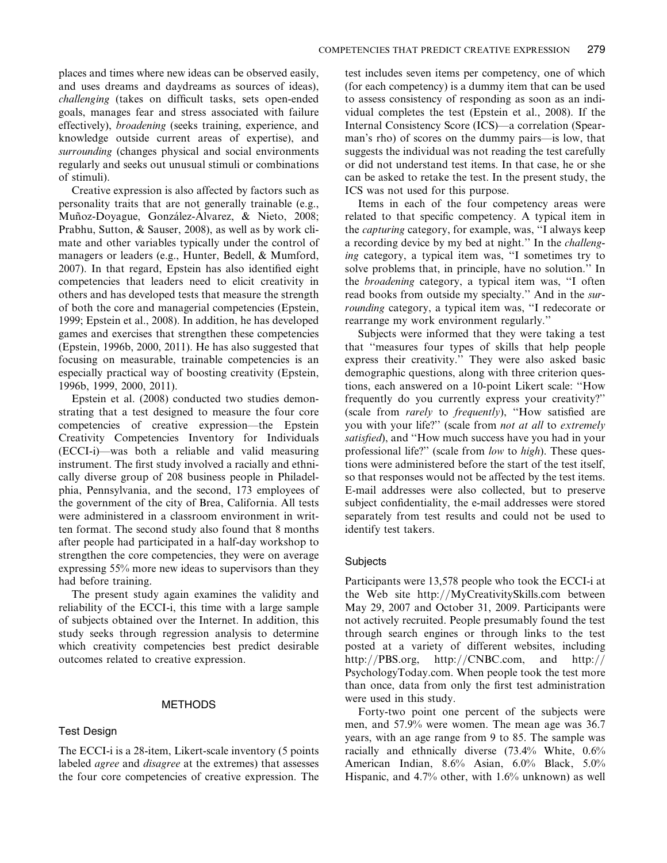places and times where new ideas can be observed easily, and uses dreams and daydreams as sources of ideas), challenging (takes on difficult tasks, sets open-ended goals, manages fear and stress associated with failure effectively), broadening (seeks training, experience, and knowledge outside current areas of expertise), and surrounding (changes physical and social environments regularly and seeks out unusual stimuli or combinations of stimuli).

Creative expression is also affected by factors such as personality traits that are not generally trainable (e.g., Muñoz-Doyague, González-Álvarez, & Nieto, 2008; Prabhu, Sutton, & Sauser, 2008), as well as by work climate and other variables typically under the control of managers or leaders (e.g., Hunter, Bedell, & Mumford, 2007). In that regard, Epstein has also identified eight competencies that leaders need to elicit creativity in others and has developed tests that measure the strength of both the core and managerial competencies (Epstein, 1999; Epstein et al., 2008). In addition, he has developed games and exercises that strengthen these competencies (Epstein, 1996b, 2000, 2011). He has also suggested that focusing on measurable, trainable competencies is an especially practical way of boosting creativity (Epstein, 1996b, 1999, 2000, 2011).

Epstein et al. (2008) conducted two studies demonstrating that a test designed to measure the four core competencies of creative expression—the Epstein Creativity Competencies Inventory for Individuals (ECCI-i)—was both a reliable and valid measuring instrument. The first study involved a racially and ethnically diverse group of 208 business people in Philadelphia, Pennsylvania, and the second, 173 employees of the government of the city of Brea, California. All tests were administered in a classroom environment in written format. The second study also found that 8 months after people had participated in a half-day workshop to strengthen the core competencies, they were on average expressing 55% more new ideas to supervisors than they had before training.

The present study again examines the validity and reliability of the ECCI-i, this time with a large sample of subjects obtained over the Internet. In addition, this study seeks through regression analysis to determine which creativity competencies best predict desirable outcomes related to creative expression.

#### METHODS

## Test Design

The ECCI-i is a 28-item, Likert-scale inventory (5 points labeled agree and disagree at the extremes) that assesses the four core competencies of creative expression. The test includes seven items per competency, one of which (for each competency) is a dummy item that can be used to assess consistency of responding as soon as an individual completes the test (Epstein et al., 2008). If the Internal Consistency Score (ICS)—a correlation (Spearman's rho) of scores on the dummy pairs—is low, that suggests the individual was not reading the test carefully or did not understand test items. In that case, he or she can be asked to retake the test. In the present study, the ICS was not used for this purpose.

Items in each of the four competency areas were related to that specific competency. A typical item in the capturing category, for example, was, ''I always keep a recording device by my bed at night.'' In the challenging category, a typical item was, ''I sometimes try to solve problems that, in principle, have no solution.'' In the broadening category, a typical item was, ''I often read books from outside my specialty.'' And in the surrounding category, a typical item was, ''I redecorate or rearrange my work environment regularly.''

Subjects were informed that they were taking a test that ''measures four types of skills that help people express their creativity.'' They were also asked basic demographic questions, along with three criterion questions, each answered on a 10-point Likert scale: ''How frequently do you currently express your creativity?'' (scale from rarely to frequently), ''How satisfied are you with your life?" (scale from not at all to extremely satisfied), and "How much success have you had in your professional life?'' (scale from low to high). These questions were administered before the start of the test itself, so that responses would not be affected by the test items. E-mail addresses were also collected, but to preserve subject confidentiality, the e-mail addresses were stored separately from test results and could not be used to identify test takers.

#### **Subjects**

Participants were 13,578 people who took the ECCI-i at the Web site http://MyCreativitySkills.com between May 29, 2007 and October 31, 2009. Participants were not actively recruited. People presumably found the test through search engines or through links to the test posted at a variety of different websites, including http://PBS.org, http://CNBC.com, and http:// PsychologyToday.com. When people took the test more than once, data from only the first test administration were used in this study.

Forty-two point one percent of the subjects were men, and 57.9% were women. The mean age was 36.7 years, with an age range from 9 to 85. The sample was racially and ethnically diverse (73.4% White, 0.6% American Indian, 8.6% Asian, 6.0% Black, 5.0% Hispanic, and 4.7% other, with 1.6% unknown) as well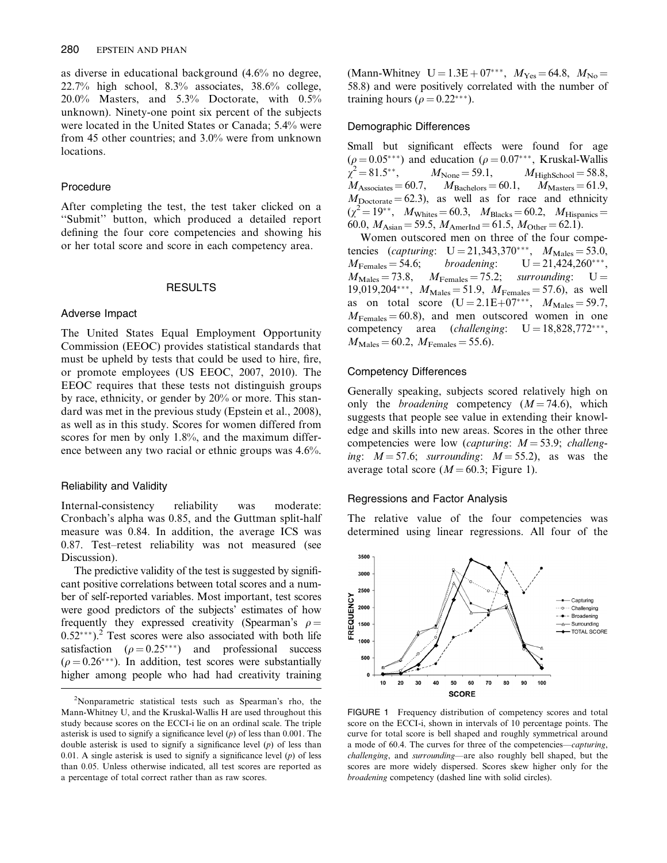as diverse in educational background (4.6% no degree, 22.7% high school, 8.3% associates, 38.6% college, 20.0% Masters, and 5.3% Doctorate, with 0.5% unknown). Ninety-one point six percent of the subjects were located in the United States or Canada; 5.4% were from 45 other countries; and 3.0% were from unknown locations.

#### Procedure

After completing the test, the test taker clicked on a ''Submit'' button, which produced a detailed report defining the four core competencies and showing his or her total score and score in each competency area.

#### RESULTS

#### Adverse Impact

The United States Equal Employment Opportunity Commission (EEOC) provides statistical standards that must be upheld by tests that could be used to hire, fire, or promote employees (US EEOC, 2007, 2010). The EEOC requires that these tests not distinguish groups by race, ethnicity, or gender by 20% or more. This standard was met in the previous study (Epstein et al., 2008), as well as in this study. Scores for women differed from scores for men by only 1.8%, and the maximum difference between any two racial or ethnic groups was 4.6%.

#### Reliability and Validity

Internal-consistency reliability was moderate: Cronbach's alpha was 0.85, and the Guttman split-half measure was 0.84. In addition, the average ICS was 0.87. Test–retest reliability was not measured (see Discussion).

The predictive validity of the test is suggested by significant positive correlations between total scores and a number of self-reported variables. Most important, test scores were good predictors of the subjects' estimates of how frequently they expressed creativity (Spearman's  $\rho =$  $0.52***$ )<sup>2</sup>. Test scores were also associated with both life satisfaction  $(\rho = 0.25^{***})$  and professional success  $(\rho = 0.26^{***})$ . In addition, test scores were substantially higher among people who had had creativity training (Mann-Whitney  $U = 1.3E + 07***$ ,  $M_{Yes} = 64.8$ ,  $M_{No} =$ 58.8) and were positively correlated with the number of training hours ( $\rho = 0.22***$ ).

#### Demographic Differences

Small but significant effects were found for age  $(\rho = 0.05^{***})$  and education  $(\rho = 0.07^{***})$ , Kruskal-Wallis  $\chi^2 = 81.5^{**}$ ,  $M_{\text{None}} = 59.1$ ,  $M_{\text{High School}} = 58.8$ ,  $M_{\rm Associates}=60.7, \qquad M_{\rm Bachelors}=60.1, \qquad M_{\rm Masters}=61.9,$  $M_{\text{Doctorate}} = 62.3$ , as well as for race and ethnicity  $(\chi^2 = 19^{**}, \quad M_{\text{Whites}} = 60.3, \quad M_{\text{Blacks}} = 60.2, \quad M_{\text{Hispanics}} =$ 60.0,  $M_{\text{Asian}} = 59.5$ ,  $M_{\text{AmerInd}} = 61.5$ ,  $M_{\text{Other}} = 62.1$ .

Women outscored men on three of the four competencies (*capturing*:  $U = 21,343,370^{***}, M_{\text{Males}} = 53.0,$ <br>  $M_{\text{Females}} = 54.6;$  broadening:  $U = 21,424,260^{***},$  $M_{\text{Females}} = 54.6;$  broadening:  $U = 21,424,260***$ ,  $M_{\text{Males}} = 73.8, \quad M_{\text{Females}} = 75.2; \quad surrounding: \quad U =$ 19,019,204\*\*\*,  $M_{\text{Males}} = 51.9$ ,  $M_{\text{Females}} = 57.6$ ), as well as on total score  $(U = 2.1E + 07***, M_{\text{Males}} = 59.7,$  $M_{\text{Females}} = 60.8$ , and men outscored women in one competency area (*challenging*:  $U = 18,828,772***$ ,  $M_{\text{Males}} = 60.2, M_{\text{Females}} = 55.6.$ 

## Competency Differences

Generally speaking, subjects scored relatively high on only the *broadening* competency  $(M = 74.6)$ , which suggests that people see value in extending their knowledge and skills into new areas. Scores in the other three competencies were low (capturing:  $M = 53.9$ ; challenging:  $M = 57.6$ ; surrounding:  $M = 55.2$ ), as was the average total score ( $M = 60.3$ ; Figure 1).

#### Regressions and Factor Analysis

The relative value of the four competencies was determined using linear regressions. All four of the



FIGURE 1 Frequency distribution of competency scores and total score on the ECCI-i, shown in intervals of 10 percentage points. The curve for total score is bell shaped and roughly symmetrical around a mode of 60.4. The curves for three of the competencies—capturing, challenging, and surrounding—are also roughly bell shaped, but the scores are more widely dispersed. Scores skew higher only for the broadening competency (dashed line with solid circles).

<sup>&</sup>lt;sup>2</sup>Nonparametric statistical tests such as Spearman's rho, the Mann-Whitney U, and the Kruskal-Wallis H are used throughout this study because scores on the ECCI-i lie on an ordinal scale. The triple asterisk is used to signify a significance level  $(p)$  of less than 0.001. The double asterisk is used to signify a significance level  $(p)$  of less than 0.01. A single asterisk is used to signify a significance level  $(p)$  of less than 0.05. Unless otherwise indicated, all test scores are reported as a percentage of total correct rather than as raw scores.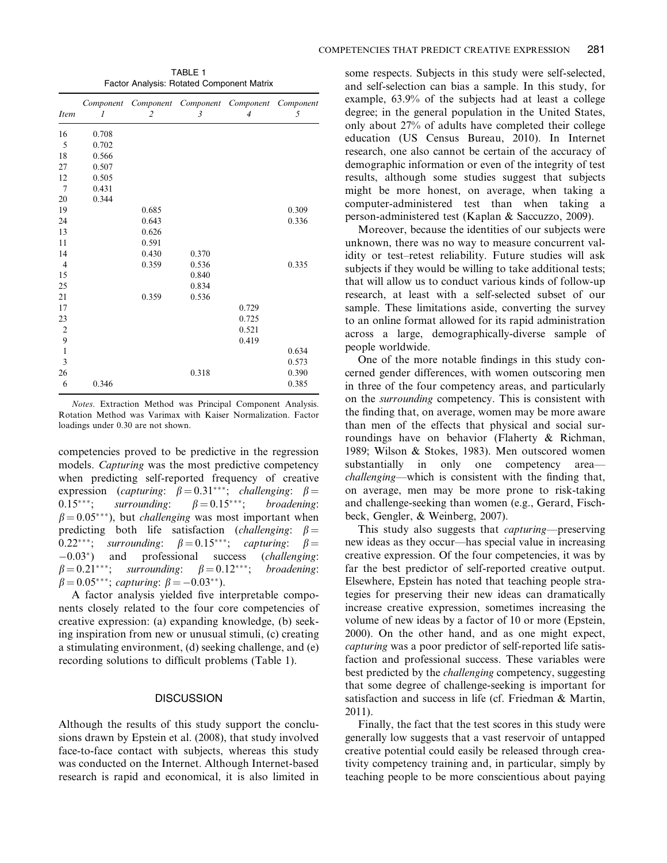TABLE 1 Factor Analysis: Rotated Component Matrix

| <b>Item</b>    | Component<br>1 | Component<br>$\overline{2}$ | $\mathfrak{Z}$ | Component Component<br>$\overline{4}$ | Component<br>5 |
|----------------|----------------|-----------------------------|----------------|---------------------------------------|----------------|
| 16             | 0.708          |                             |                |                                       |                |
| 5              | 0.702          |                             |                |                                       |                |
| 18             | 0.566          |                             |                |                                       |                |
| 27             | 0.507          |                             |                |                                       |                |
| 12             | 0.505          |                             |                |                                       |                |
| $\overline{7}$ | 0.431          |                             |                |                                       |                |
| 20             | 0.344          |                             |                |                                       |                |
| 19             |                | 0.685                       |                |                                       | 0.309          |
| 24             |                | 0.643                       |                |                                       | 0.336          |
| 13             |                | 0.626                       |                |                                       |                |
| 11             |                | 0.591                       |                |                                       |                |
| 14             |                | 0.430                       | 0.370          |                                       |                |
| $\overline{4}$ |                | 0.359                       | 0.536          |                                       | 0.335          |
| 15             |                |                             | 0.840          |                                       |                |
| 25             |                |                             | 0.834          |                                       |                |
| 21             |                | 0.359                       | 0.536          |                                       |                |
| 17             |                |                             |                | 0.729                                 |                |
| 23             |                |                             |                | 0.725                                 |                |
| $\overline{c}$ |                |                             |                | 0.521                                 |                |
| 9              |                |                             |                | 0.419                                 |                |
| $\mathbf{1}$   |                |                             |                |                                       | 0.634          |
| 3              |                |                             |                |                                       | 0.573          |
| 26             |                |                             | 0.318          |                                       | 0.390          |
| 6              | 0.346          |                             |                |                                       | 0.385          |

Notes. Extraction Method was Principal Component Analysis. Rotation Method was Varimax with Kaiser Normalization. Factor loadings under 0.30 are not shown.

competencies proved to be predictive in the regression models. Capturing was the most predictive competency when predicting self-reported frequency of creative expression (capturing:  $\beta = 0.31***$ ; challenging:  $\beta =$ 0.15\*\*\*; surrounding:  $\beta = 0.15***;$  broadening:  $\beta = 0.05***$ , but *challenging* was most important when predicting both life satisfaction (*challenging*:  $\beta =$ 0.22\*\*\*; surrounding:  $\beta = 0.15$ \*\*\*; capturing:  $\beta =$  $-0.03^*$ ) and professional success (challenging:  $\beta = 0.21***;$  surrounding:  $\beta = 0.12***;$  broadening:  $\beta = 0.05^{***}$ ; capturing:  $\beta = -0.03^{**}$ ).

A factor analysis yielded five interpretable components closely related to the four core competencies of creative expression: (a) expanding knowledge, (b) seeking inspiration from new or unusual stimuli, (c) creating a stimulating environment, (d) seeking challenge, and (e) recording solutions to difficult problems (Table 1).

#### **DISCUSSION**

Although the results of this study support the conclusions drawn by Epstein et al. (2008), that study involved face-to-face contact with subjects, whereas this study was conducted on the Internet. Although Internet-based research is rapid and economical, it is also limited in

some respects. Subjects in this study were self-selected, and self-selection can bias a sample. In this study, for example, 63.9% of the subjects had at least a college degree; in the general population in the United States, only about 27% of adults have completed their college education (US Census Bureau, 2010). In Internet research, one also cannot be certain of the accuracy of demographic information or even of the integrity of test results, although some studies suggest that subjects might be more honest, on average, when taking a computer-administered test than when taking a person-administered test (Kaplan & Saccuzzo, 2009).

Moreover, because the identities of our subjects were unknown, there was no way to measure concurrent validity or test–retest reliability. Future studies will ask subjects if they would be willing to take additional tests; that will allow us to conduct various kinds of follow-up research, at least with a self-selected subset of our sample. These limitations aside, converting the survey to an online format allowed for its rapid administration across a large, demographically-diverse sample of people worldwide.

One of the more notable findings in this study concerned gender differences, with women outscoring men in three of the four competency areas, and particularly on the surrounding competency. This is consistent with the finding that, on average, women may be more aware than men of the effects that physical and social surroundings have on behavior (Flaherty & Richman, 1989; Wilson & Stokes, 1983). Men outscored women substantially in only one competency area challenging—which is consistent with the finding that, on average, men may be more prone to risk-taking and challenge-seeking than women (e.g., Gerard, Fischbeck, Gengler, & Weinberg, 2007).

This study also suggests that *capturing*—preserving new ideas as they occur—has special value in increasing creative expression. Of the four competencies, it was by far the best predictor of self-reported creative output. Elsewhere, Epstein has noted that teaching people strategies for preserving their new ideas can dramatically increase creative expression, sometimes increasing the volume of new ideas by a factor of 10 or more (Epstein, 2000). On the other hand, and as one might expect, capturing was a poor predictor of self-reported life satisfaction and professional success. These variables were best predicted by the challenging competency, suggesting that some degree of challenge-seeking is important for satisfaction and success in life (cf. Friedman & Martin, 2011).

Finally, the fact that the test scores in this study were generally low suggests that a vast reservoir of untapped creative potential could easily be released through creativity competency training and, in particular, simply by teaching people to be more conscientious about paying